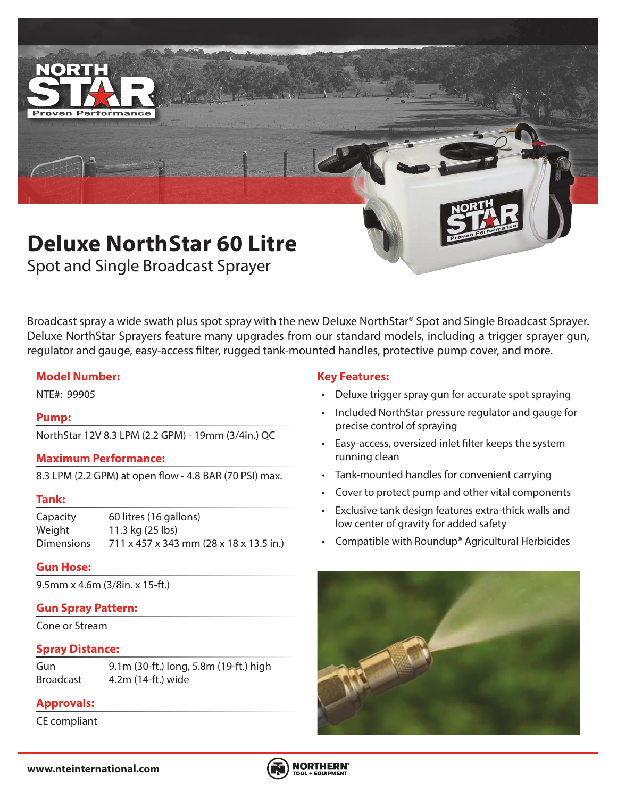

Spot and Single Broadcast Sprayer

Broadcast spray a wide swath plus spot spray with the new Deluxe NorthStar® Spot and Single Broadcast Sprayer. Deluxe NorthStar Sprayers feature many upgrades from our standard models, including a trigger sprayer gun, regulator and gauge, easy-access filter, rugged tank-mounted handles, protective pump cover, and more.

### **Model Number:**

### **Pump:**

NorthStar 12V 8.3 LPM (2.2 GPM) - 19mm (3/4in.) QC

### **Maximum Performance:**

8.3 LPM (2.2 GPM) at open flow - 4.8 BAR (70 PSI) max.

### **Tank:**

Capacity 60 litres (16 gallons) Weight 11.3 kg (25 lbs) Dimensions 711 x 457 x 343 mm (28 x 18 x 13.5 in.)

### **Gun Hose:**

9.5mm x 4.6m (3/8in. x 15-ft.)

### **Gun Spray Pattern:**

Cone or Stream

### **Spray Distance:**

Gun 9.1m (30-ft.) long, 5.8m (19-ft.) high Broadcast 4.2m (14-ft.) wide

# **Approvals:**

CE compliant

## **Key Features:**

- NTE#: 99905 Deluxe trigger spray gun for accurate spot spraying
	- Included NorthStar pressure regulator and gauge for precise control of spraying
	- Easy-access, oversized inlet filter keeps the system running clean
	- Tank-mounted handles for convenient carrying
	- Cover to protect pump and other vital components
	- Exclusive tank design features extra-thick walls and low center of gravity for added safety
	- Compatible with Roundup® Agricultural Herbicides